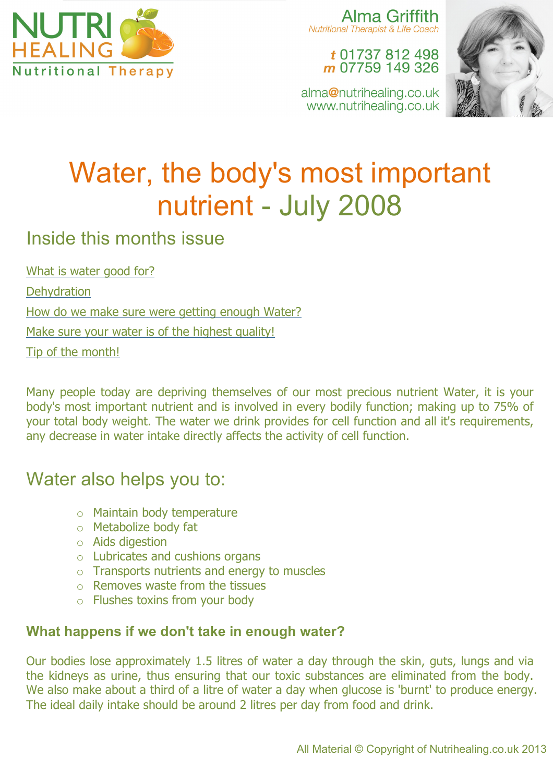

Alma Griffith **Nutritional Therapist & Life Coach** 

> t 01737 812 498 m 07759 149 326

alma@nutrihealing.co.uk www.nutrihealing.co.uk



# Water, the body's most important nutrient - July 2008

### Inside this months issue

What is water good for?

**Dehydration** 

How do we make sure were getting enough Water?

Make sure your water is of the highest quality!

Tip of the month!

Many people today are depriving themselves of our most precious nutrient Water, it is your body's most important nutrient and is involved in every bodily function; making up to 75% of your total body weight. The water we drink provides for cell function and all it's requirements, any decrease in water intake directly affects the activity of cell function.

### Water also helps you to:

- o Maintain body temperature
- o Metabolize body fat
- o Aids digestion
- o Lubricates and cushions organs
- o Transports nutrients and energy to muscles
- $\circ$  Removes waste from the tissues
- o Flushes toxins from your body

#### **What happens if we don't take in enough water?**

Our bodies lose approximately 1.5 litres of water a day through the skin, guts, lungs and via the kidneys as urine, thus ensuring that our toxic substances are eliminated from the body. We also make about a third of a litre of water a day when glucose is 'burnt' to produce energy. The ideal daily intake should be around 2 litres per day from food and drink.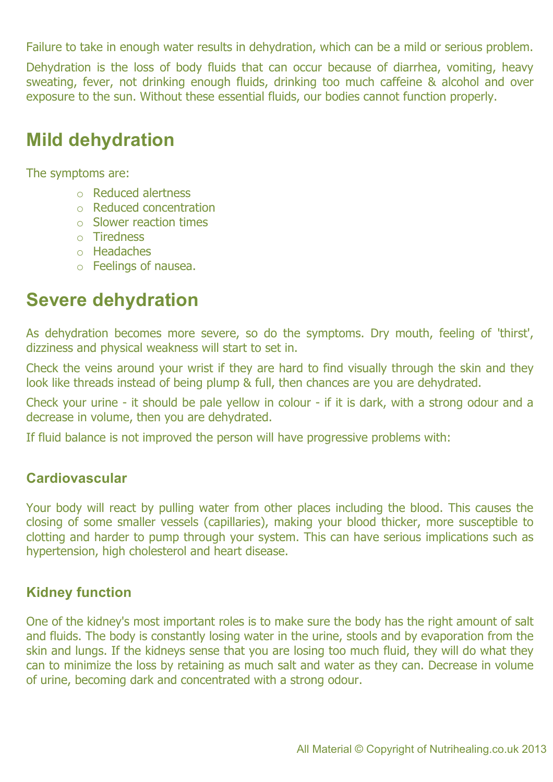Failure to take in enough water results in dehydration, which can be a mild or serious problem.

Dehydration is the loss of body fluids that can occur because of diarrhea, vomiting, heavy sweating, fever, not drinking enough fluids, drinking too much caffeine & alcohol and over exposure to the sun. Without these essential fluids, our bodies cannot function properly.

### **Mild dehydration**

The symptoms are:

- o Reduced alertness
- o Reduced concentration
- o Slower reaction times
- o Tiredness
- o Headaches
- o Feelings of nausea.

### **Severe dehydration**

As dehydration becomes more severe, so do the symptoms. Dry mouth, feeling of 'thirst', dizziness and physical weakness will start to set in.

Check the veins around your wrist if they are hard to find visually through the skin and they look like threads instead of being plump & full, then chances are you are dehydrated.

Check your urine - it should be pale yellow in colour - if it is dark, with a strong odour and a decrease in volume, then you are dehydrated.

If fluid balance is not improved the person will have progressive problems with:

#### **Cardiovascular**

Your body will react by pulling water from other places including the blood. This causes the closing of some smaller vessels (capillaries), making your blood thicker, more susceptible to clotting and harder to pump through your system. This can have serious implications such as hypertension, high cholesterol and heart disease.

#### **Kidney function**

One of the kidney's most important roles is to make sure the body has the right amount of salt and fluids. The body is constantly losing water in the urine, stools and by evaporation from the skin and lungs. If the kidneys sense that you are losing too much fluid, they will do what they can to minimize the loss by retaining as much salt and water as they can. Decrease in volume of urine, becoming dark and concentrated with a strong odour.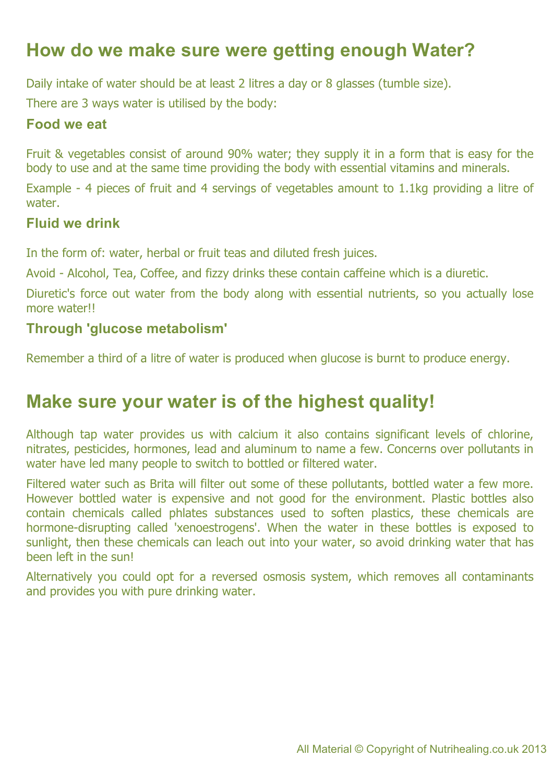### **How do we make sure were getting enough Water?**

Daily intake of water should be at least 2 litres a day or 8 glasses (tumble size).

There are 3 ways water is utilised by the body:

#### **Food we eat**

Fruit & vegetables consist of around 90% water; they supply it in a form that is easy for the body to use and at the same time providing the body with essential vitamins and minerals.

Example - 4 pieces of fruit and 4 servings of vegetables amount to 1.1kg providing a litre of water.

#### **Fluid we drink**

In the form of: water, herbal or fruit teas and diluted fresh juices.

Avoid - Alcohol, Tea, Coffee, and fizzy drinks these contain caffeine which is a diuretic.

Diuretic's force out water from the body along with essential nutrients, so you actually lose more water!

#### **Through 'glucose metabolism'**

Remember a third of a litre of water is produced when glucose is burnt to produce energy.

### **Make sure your water is of the highest quality!**

Although tap water provides us with calcium it also contains significant levels of chlorine, nitrates, pesticides, hormones, lead and aluminum to name a few. Concerns over pollutants in water have led many people to switch to bottled or filtered water.

Filtered water such as Brita will filter out some of these pollutants, bottled water a few more. However bottled water is expensive and not good for the environment. Plastic bottles also contain chemicals called phlates substances used to soften plastics, these chemicals are hormone-disrupting called 'xenoestrogens'. When the water in these bottles is exposed to sunlight, then these chemicals can leach out into your water, so avoid drinking water that has been left in the sun!

Alternatively you could opt for a reversed osmosis system, which removes all contaminants and provides you with pure drinking water.